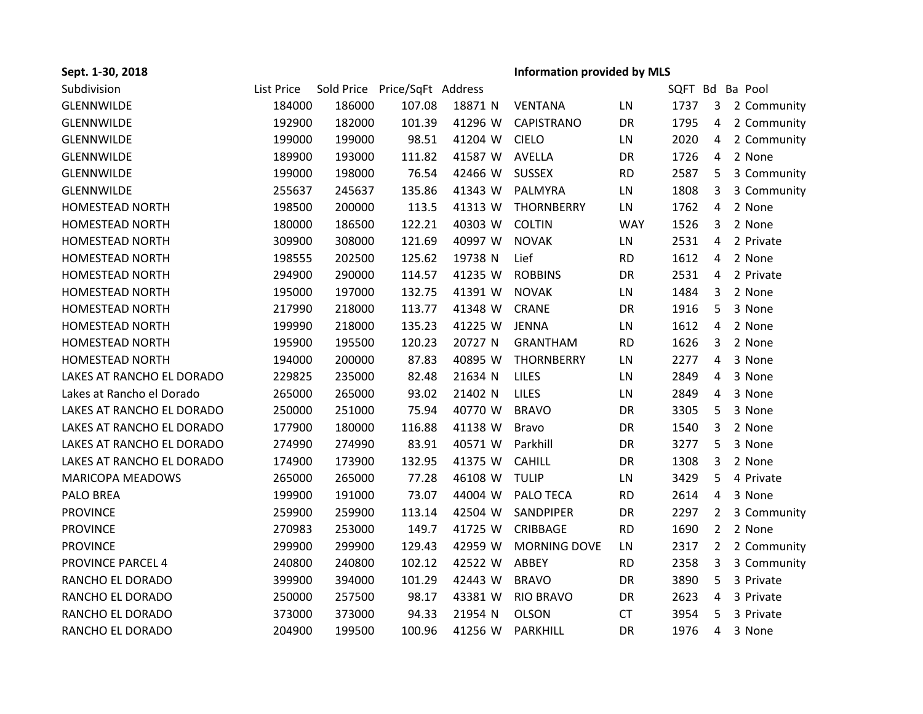| Sept. 1-30, 2018          |            |        |                               |         | <b>Information provided by MLS</b> |            |      |                |                 |
|---------------------------|------------|--------|-------------------------------|---------|------------------------------------|------------|------|----------------|-----------------|
| Subdivision               | List Price |        | Sold Price Price/SqFt Address |         |                                    |            |      |                | SQFT Bd Ba Pool |
| <b>GLENNWILDE</b>         | 184000     | 186000 | 107.08                        | 18871 N | <b>VENTANA</b>                     | LN         | 1737 |                | 3 2 Community   |
| <b>GLENNWILDE</b>         | 192900     | 182000 | 101.39                        | 41296 W | <b>CAPISTRANO</b>                  | DR         | 1795 | 4              | 2 Community     |
| GLENNWILDE                | 199000     | 199000 | 98.51                         | 41204 W | <b>CIELO</b>                       | LN         | 2020 | 4              | 2 Community     |
| GLENNWILDE                | 189900     | 193000 | 111.82                        | 41587 W | AVELLA                             | DR         | 1726 | 4              | 2 None          |
| GLENNWILDE                | 199000     | 198000 | 76.54                         | 42466 W | <b>SUSSEX</b>                      | <b>RD</b>  | 2587 | 5              | 3 Community     |
| GLENNWILDE                | 255637     | 245637 | 135.86                        | 41343 W | PALMYRA                            | LN         | 1808 | 3              | 3 Community     |
| <b>HOMESTEAD NORTH</b>    | 198500     | 200000 | 113.5                         | 41313 W | <b>THORNBERRY</b>                  | LN         | 1762 | 4              | 2 None          |
| <b>HOMESTEAD NORTH</b>    | 180000     | 186500 | 122.21                        | 40303 W | <b>COLTIN</b>                      | <b>WAY</b> | 1526 | 3              | 2 None          |
| <b>HOMESTEAD NORTH</b>    | 309900     | 308000 | 121.69                        | 40997 W | <b>NOVAK</b>                       | LN         | 2531 | 4              | 2 Private       |
| <b>HOMESTEAD NORTH</b>    | 198555     | 202500 | 125.62                        | 19738 N | Lief                               | <b>RD</b>  | 1612 | 4              | 2 None          |
| <b>HOMESTEAD NORTH</b>    | 294900     | 290000 | 114.57                        | 41235 W | <b>ROBBINS</b>                     | DR         | 2531 | 4              | 2 Private       |
| <b>HOMESTEAD NORTH</b>    | 195000     | 197000 | 132.75                        | 41391 W | <b>NOVAK</b>                       | LN         | 1484 | 3              | 2 None          |
| <b>HOMESTEAD NORTH</b>    | 217990     | 218000 | 113.77                        | 41348 W | <b>CRANE</b>                       | DR         | 1916 | 5              | 3 None          |
| <b>HOMESTEAD NORTH</b>    | 199990     | 218000 | 135.23                        | 41225 W | <b>JENNA</b>                       | LN         | 1612 | 4              | 2 None          |
| <b>HOMESTEAD NORTH</b>    | 195900     | 195500 | 120.23                        | 20727 N | <b>GRANTHAM</b>                    | <b>RD</b>  | 1626 | 3              | 2 None          |
| <b>HOMESTEAD NORTH</b>    | 194000     | 200000 | 87.83                         | 40895 W | <b>THORNBERRY</b>                  | LN         | 2277 | 4              | 3 None          |
| LAKES AT RANCHO EL DORADO | 229825     | 235000 | 82.48                         | 21634 N | <b>LILES</b>                       | LN         | 2849 | 4              | 3 None          |
| Lakes at Rancho el Dorado | 265000     | 265000 | 93.02                         | 21402 N | LILES                              | LN         | 2849 | 4              | 3 None          |
| LAKES AT RANCHO EL DORADO | 250000     | 251000 | 75.94                         | 40770 W | <b>BRAVO</b>                       | DR         | 3305 | 5              | 3 None          |
| LAKES AT RANCHO EL DORADO | 177900     | 180000 | 116.88                        | 41138 W | <b>Bravo</b>                       | DR         | 1540 | 3              | 2 None          |
| LAKES AT RANCHO EL DORADO | 274990     | 274990 | 83.91                         | 40571 W | Parkhill                           | DR         | 3277 | 5              | 3 None          |
| LAKES AT RANCHO EL DORADO | 174900     | 173900 | 132.95                        | 41375 W | <b>CAHILL</b>                      | DR         | 1308 | 3              | 2 None          |
| <b>MARICOPA MEADOWS</b>   | 265000     | 265000 | 77.28                         | 46108 W | <b>TULIP</b>                       | LN         | 3429 | 5              | 4 Private       |
| PALO BREA                 | 199900     | 191000 | 73.07                         | 44004 W | PALO TECA                          | <b>RD</b>  | 2614 | $\overline{a}$ | 3 None          |
| <b>PROVINCE</b>           | 259900     | 259900 | 113.14                        | 42504 W | SANDPIPER                          | DR         | 2297 | $\overline{2}$ | 3 Community     |
| <b>PROVINCE</b>           | 270983     | 253000 | 149.7                         | 41725 W | CRIBBAGE                           | <b>RD</b>  | 1690 | $\overline{2}$ | 2 None          |
| <b>PROVINCE</b>           | 299900     | 299900 | 129.43                        | 42959 W | <b>MORNING DOVE</b>                | LN         | 2317 | $\overline{2}$ | 2 Community     |
| <b>PROVINCE PARCEL 4</b>  | 240800     | 240800 | 102.12                        | 42522 W | ABBEY                              | <b>RD</b>  | 2358 | 3              | 3 Community     |
| RANCHO EL DORADO          | 399900     | 394000 | 101.29                        | 42443 W | <b>BRAVO</b>                       | DR         | 3890 | 5              | 3 Private       |
| RANCHO EL DORADO          | 250000     | 257500 | 98.17                         | 43381 W | <b>RIO BRAVO</b>                   | DR         | 2623 | 4              | 3 Private       |
| RANCHO EL DORADO          | 373000     | 373000 | 94.33                         | 21954 N | <b>OLSON</b>                       | <b>CT</b>  | 3954 | 5              | 3 Private       |
| RANCHO EL DORADO          | 204900     | 199500 | 100.96                        | 41256 W | PARKHILL                           | DR         | 1976 | 4              | 3 None          |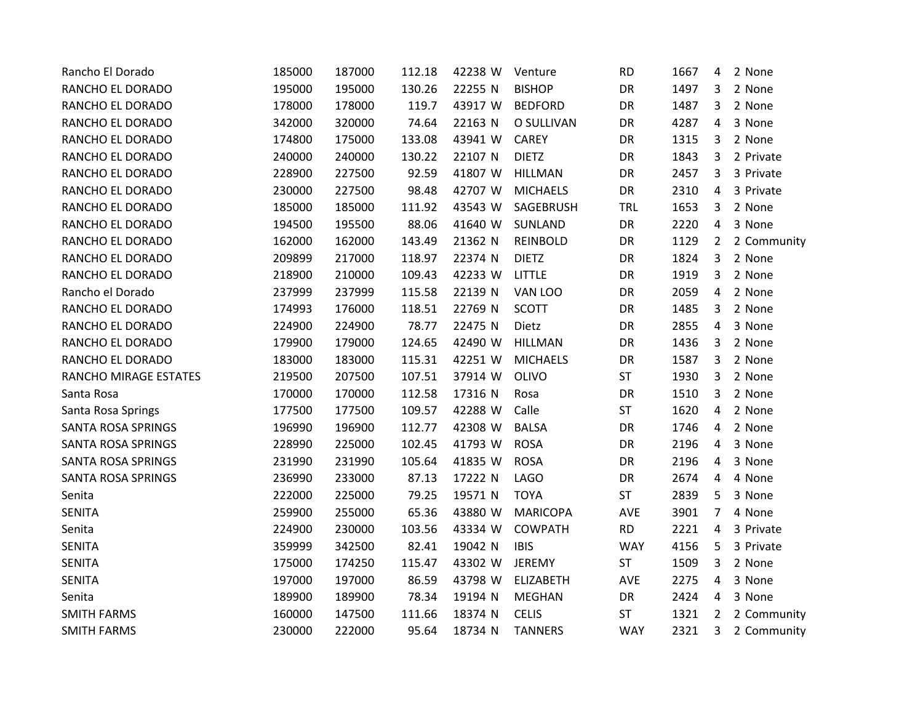| Rancho El Dorado          | 185000 | 187000 | 112.18 | 42238 W | Venture          | <b>RD</b>  | 1667 | 4              | 2 None      |
|---------------------------|--------|--------|--------|---------|------------------|------------|------|----------------|-------------|
| RANCHO EL DORADO          | 195000 | 195000 | 130.26 | 22255 N | <b>BISHOP</b>    | DR         | 1497 | 3              | 2 None      |
| RANCHO EL DORADO          | 178000 | 178000 | 119.7  | 43917 W | <b>BEDFORD</b>   | DR         | 1487 | 3              | 2 None      |
| RANCHO EL DORADO          | 342000 | 320000 | 74.64  | 22163 N | O SULLIVAN       | DR         | 4287 | 4              | 3 None      |
| RANCHO EL DORADO          | 174800 | 175000 | 133.08 | 43941 W | <b>CAREY</b>     | DR         | 1315 | 3              | 2 None      |
| RANCHO EL DORADO          | 240000 | 240000 | 130.22 | 22107 N | <b>DIETZ</b>     | DR         | 1843 | 3              | 2 Private   |
| RANCHO EL DORADO          | 228900 | 227500 | 92.59  | 41807 W | <b>HILLMAN</b>   | DR         | 2457 | 3              | 3 Private   |
| RANCHO EL DORADO          | 230000 | 227500 | 98.48  | 42707 W | <b>MICHAELS</b>  | DR         | 2310 | 4              | 3 Private   |
| RANCHO EL DORADO          | 185000 | 185000 | 111.92 | 43543 W | SAGEBRUSH        | <b>TRL</b> | 1653 | 3              | 2 None      |
| RANCHO EL DORADO          | 194500 | 195500 | 88.06  | 41640 W | <b>SUNLAND</b>   | DR         | 2220 | 4              | 3 None      |
| RANCHO EL DORADO          | 162000 | 162000 | 143.49 | 21362 N | <b>REINBOLD</b>  | DR         | 1129 | 2              | 2 Community |
| RANCHO EL DORADO          | 209899 | 217000 | 118.97 | 22374 N | <b>DIETZ</b>     | DR         | 1824 | 3              | 2 None      |
| RANCHO EL DORADO          | 218900 | 210000 | 109.43 | 42233 W | LITTLE           | DR         | 1919 | 3              | 2 None      |
| Rancho el Dorado          | 237999 | 237999 | 115.58 | 22139 N | VAN LOO          | DR         | 2059 | 4              | 2 None      |
| RANCHO EL DORADO          | 174993 | 176000 | 118.51 | 22769 N | <b>SCOTT</b>     | DR         | 1485 | 3              | 2 None      |
| RANCHO EL DORADO          | 224900 | 224900 | 78.77  | 22475 N | Dietz            | DR         | 2855 | 4              | 3 None      |
| RANCHO EL DORADO          | 179900 | 179000 | 124.65 | 42490 W | <b>HILLMAN</b>   | DR         | 1436 | 3              | 2 None      |
| RANCHO EL DORADO          | 183000 | 183000 | 115.31 | 42251 W | <b>MICHAELS</b>  | DR         | 1587 | 3              | 2 None      |
| RANCHO MIRAGE ESTATES     | 219500 | 207500 | 107.51 | 37914 W | OLIVO            | ST         | 1930 | 3              | 2 None      |
| Santa Rosa                | 170000 | 170000 | 112.58 | 17316 N | Rosa             | DR         | 1510 | 3              | 2 None      |
| Santa Rosa Springs        | 177500 | 177500 | 109.57 | 42288 W | Calle            | ST         | 1620 | 4              | 2 None      |
| <b>SANTA ROSA SPRINGS</b> | 196990 | 196900 | 112.77 | 42308 W | <b>BALSA</b>     | DR         | 1746 | 4              | 2 None      |
| SANTA ROSA SPRINGS        | 228990 | 225000 | 102.45 | 41793 W | <b>ROSA</b>      | DR         | 2196 | 4              | 3 None      |
| SANTA ROSA SPRINGS        | 231990 | 231990 | 105.64 | 41835 W | <b>ROSA</b>      | DR         | 2196 | 4              | 3 None      |
| SANTA ROSA SPRINGS        | 236990 | 233000 | 87.13  | 17222 N | <b>LAGO</b>      | DR         | 2674 | 4              | 4 None      |
| Senita                    | 222000 | 225000 | 79.25  | 19571 N | <b>TOYA</b>      | <b>ST</b>  | 2839 | 5              | 3 None      |
| <b>SENITA</b>             | 259900 | 255000 | 65.36  | 43880 W | <b>MARICOPA</b>  | AVE        | 3901 | 7              | 4 None      |
| Senita                    | 224900 | 230000 | 103.56 | 43334 W | <b>COWPATH</b>   | <b>RD</b>  | 2221 | 4              | 3 Private   |
| <b>SENITA</b>             | 359999 | 342500 | 82.41  | 19042 N | <b>IBIS</b>      | <b>WAY</b> | 4156 | 5              | 3 Private   |
| <b>SENITA</b>             | 175000 | 174250 | 115.47 | 43302 W | <b>JEREMY</b>    | <b>ST</b>  | 1509 | 3              | 2 None      |
| <b>SENITA</b>             | 197000 | 197000 | 86.59  | 43798 W | <b>ELIZABETH</b> | AVE        | 2275 | 4              | 3 None      |
| Senita                    | 189900 | 189900 | 78.34  | 19194 N | <b>MEGHAN</b>    | DR         | 2424 | 4              | 3 None      |
| <b>SMITH FARMS</b>        | 160000 | 147500 | 111.66 | 18374 N | <b>CELIS</b>     | <b>ST</b>  | 1321 | $\overline{2}$ | 2 Community |
| <b>SMITH FARMS</b>        | 230000 | 222000 | 95.64  | 18734 N | <b>TANNERS</b>   | <b>WAY</b> | 2321 | 3              | 2 Community |